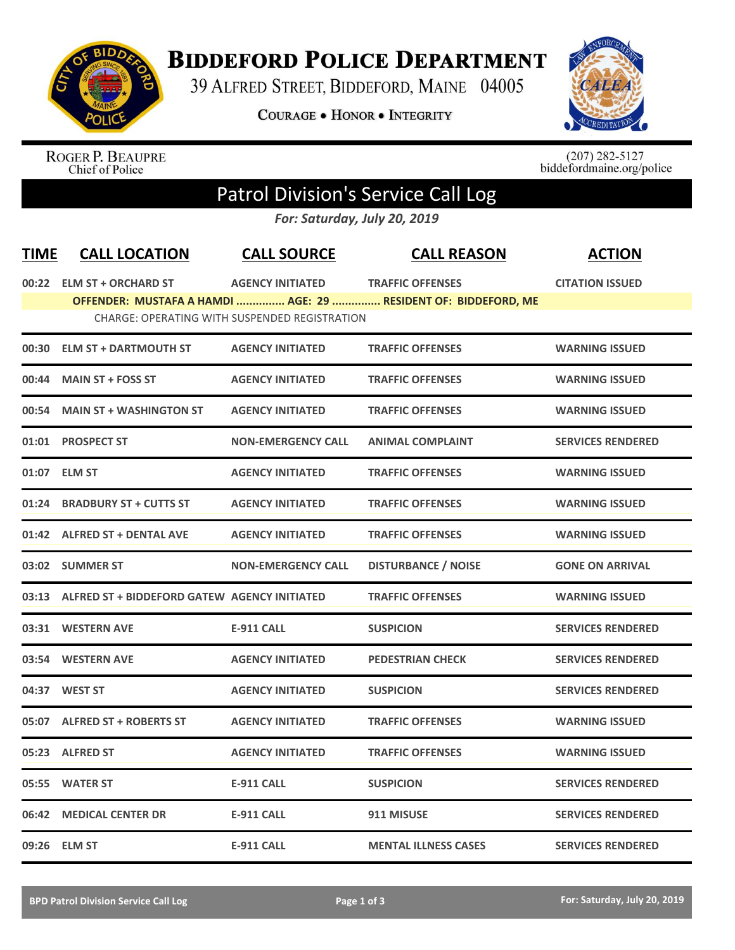

## **BIDDEFORD POLICE DEPARTMENT**

39 ALFRED STREET, BIDDEFORD, MAINE 04005

**COURAGE . HONOR . INTEGRITY** 



ROGER P. BEAUPRE<br>Chief of Police

 $(207)$  282-5127<br>biddefordmaine.org/police

## Patrol Division's Service Call Log

*For: Saturday, July 20, 2019*

| <b>TIME</b> | <b>CALL LOCATION</b>                                 | <b>CALL SOURCE</b>        | <b>CALL REASON</b>                                             | <b>ACTION</b>            |
|-------------|------------------------------------------------------|---------------------------|----------------------------------------------------------------|--------------------------|
|             | 00:22 ELM ST + ORCHARD ST                            | <b>AGENCY INITIATED</b>   | <b>TRAFFIC OFFENSES</b>                                        | <b>CITATION ISSUED</b>   |
|             |                                                      |                           | OFFENDER: MUSTAFA A HAMDI  AGE: 29  RESIDENT OF: BIDDEFORD, ME |                          |
|             | <b>CHARGE: OPERATING WITH SUSPENDED REGISTRATION</b> |                           |                                                                |                          |
| 00:30       | <b>ELM ST + DARTMOUTH ST</b>                         | <b>AGENCY INITIATED</b>   | <b>TRAFFIC OFFENSES</b>                                        | <b>WARNING ISSUED</b>    |
|             | 00:44 MAIN ST + FOSS ST                              | <b>AGENCY INITIATED</b>   | <b>TRAFFIC OFFENSES</b>                                        | <b>WARNING ISSUED</b>    |
|             | 00:54 MAIN ST + WASHINGTON ST                        | <b>AGENCY INITIATED</b>   | <b>TRAFFIC OFFENSES</b>                                        | <b>WARNING ISSUED</b>    |
|             | 01:01 PROSPECT ST                                    | <b>NON-EMERGENCY CALL</b> | <b>ANIMAL COMPLAINT</b>                                        | <b>SERVICES RENDERED</b> |
|             | 01:07 ELM ST                                         | <b>AGENCY INITIATED</b>   | <b>TRAFFIC OFFENSES</b>                                        | <b>WARNING ISSUED</b>    |
| 01:24       | <b>BRADBURY ST + CUTTS ST</b>                        | <b>AGENCY INITIATED</b>   | <b>TRAFFIC OFFENSES</b>                                        | <b>WARNING ISSUED</b>    |
|             | 01:42 ALFRED ST + DENTAL AVE                         | <b>AGENCY INITIATED</b>   | <b>TRAFFIC OFFENSES</b>                                        | <b>WARNING ISSUED</b>    |
|             | 03:02 SUMMER ST                                      | <b>NON-EMERGENCY CALL</b> | <b>DISTURBANCE / NOISE</b>                                     | <b>GONE ON ARRIVAL</b>   |
| 03:13       | ALFRED ST + BIDDEFORD GATEW AGENCY INITIATED         |                           | <b>TRAFFIC OFFENSES</b>                                        | <b>WARNING ISSUED</b>    |
|             | 03:31 WESTERN AVE                                    | <b>E-911 CALL</b>         | <b>SUSPICION</b>                                               | <b>SERVICES RENDERED</b> |
|             | 03:54 WESTERN AVE                                    | <b>AGENCY INITIATED</b>   | <b>PEDESTRIAN CHECK</b>                                        | <b>SERVICES RENDERED</b> |
|             | 04:37 WEST ST                                        | <b>AGENCY INITIATED</b>   | <b>SUSPICION</b>                                               | <b>SERVICES RENDERED</b> |
|             | 05:07 ALFRED ST + ROBERTS ST                         | <b>AGENCY INITIATED</b>   | <b>TRAFFIC OFFENSES</b>                                        | <b>WARNING ISSUED</b>    |
| 05:23       | <b>ALFRED ST</b>                                     | <b>AGENCY INITIATED</b>   | <b>TRAFFIC OFFENSES</b>                                        | <b>WARNING ISSUED</b>    |
| 05:55       | <b>WATER ST</b>                                      | <b>E-911 CALL</b>         | <b>SUSPICION</b>                                               | <b>SERVICES RENDERED</b> |
|             | 06:42 MEDICAL CENTER DR                              | <b>E-911 CALL</b>         | 911 MISUSE                                                     | <b>SERVICES RENDERED</b> |
|             | 09:26 ELM ST                                         | <b>E-911 CALL</b>         | <b>MENTAL ILLNESS CASES</b>                                    | <b>SERVICES RENDERED</b> |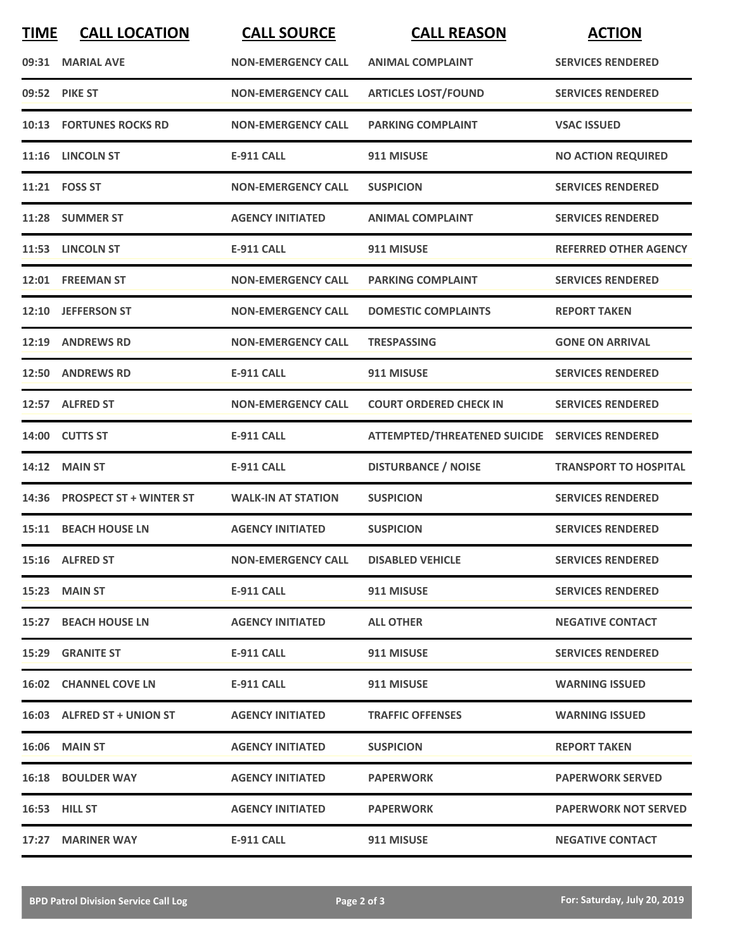| <b>TIME</b> | <b>CALL LOCATION</b>           | <b>CALL SOURCE</b>        | <b>CALL REASON</b>                             | <b>ACTION</b>                |
|-------------|--------------------------------|---------------------------|------------------------------------------------|------------------------------|
|             | 09:31 MARIAL AVE               | <b>NON-EMERGENCY CALL</b> | <b>ANIMAL COMPLAINT</b>                        | <b>SERVICES RENDERED</b>     |
|             | 09:52 PIKE ST                  | <b>NON-EMERGENCY CALL</b> | <b>ARTICLES LOST/FOUND</b>                     | <b>SERVICES RENDERED</b>     |
|             | <b>10:13 FORTUNES ROCKS RD</b> | <b>NON-EMERGENCY CALL</b> | <b>PARKING COMPLAINT</b>                       | <b>VSAC ISSUED</b>           |
|             | 11:16 LINCOLN ST               | <b>E-911 CALL</b>         | 911 MISUSE                                     | <b>NO ACTION REQUIRED</b>    |
|             | 11:21    FOSS ST               | <b>NON-EMERGENCY CALL</b> | <b>SUSPICION</b>                               | <b>SERVICES RENDERED</b>     |
|             | 11:28 SUMMER ST                | <b>AGENCY INITIATED</b>   | <b>ANIMAL COMPLAINT</b>                        | <b>SERVICES RENDERED</b>     |
|             | 11:53 LINCOLN ST               | <b>E-911 CALL</b>         | 911 MISUSE                                     | <b>REFERRED OTHER AGENCY</b> |
| 12:01       | <b>FREEMAN ST</b>              | <b>NON-EMERGENCY CALL</b> | <b>PARKING COMPLAINT</b>                       | <b>SERVICES RENDERED</b>     |
|             | 12:10 JEFFERSON ST             | <b>NON-EMERGENCY CALL</b> | <b>DOMESTIC COMPLAINTS</b>                     | <b>REPORT TAKEN</b>          |
|             | 12:19 ANDREWS RD               | <b>NON-EMERGENCY CALL</b> | <b>TRESPASSING</b>                             | <b>GONE ON ARRIVAL</b>       |
|             | 12:50 ANDREWS RD               | <b>E-911 CALL</b>         | 911 MISUSE                                     | <b>SERVICES RENDERED</b>     |
|             | 12:57 ALFRED ST                | <b>NON-EMERGENCY CALL</b> | <b>COURT ORDERED CHECK IN</b>                  | <b>SERVICES RENDERED</b>     |
| 14:00       | <b>CUTTS ST</b>                | <b>E-911 CALL</b>         | ATTEMPTED/THREATENED SUICIDE SERVICES RENDERED |                              |
| 14:12       | <b>MAIN ST</b>                 | <b>E-911 CALL</b>         | <b>DISTURBANCE / NOISE</b>                     | <b>TRANSPORT TO HOSPITAL</b> |
| 14:36       | <b>PROSPECT ST + WINTER ST</b> | <b>WALK-IN AT STATION</b> | <b>SUSPICION</b>                               | <b>SERVICES RENDERED</b>     |
| 15:11       | <b>BEACH HOUSE LN</b>          | <b>AGENCY INITIATED</b>   | <b>SUSPICION</b>                               | <b>SERVICES RENDERED</b>     |
|             | 15:16 ALFRED ST                | <b>NON-EMERGENCY CALL</b> | <b>DISABLED VEHICLE</b>                        | <b>SERVICES RENDERED</b>     |
|             | 15:23 MAIN ST                  | <b>E-911 CALL</b>         | 911 MISUSE                                     | <b>SERVICES RENDERED</b>     |
|             | 15:27 BEACH HOUSE LN           | <b>AGENCY INITIATED</b>   | <b>ALL OTHER</b>                               | <b>NEGATIVE CONTACT</b>      |
|             | 15:29 GRANITE ST               | E-911 CALL                | 911 MISUSE                                     | <b>SERVICES RENDERED</b>     |
|             | <b>16:02 CHANNEL COVE LN</b>   | E-911 CALL                | 911 MISUSE                                     | <b>WARNING ISSUED</b>        |
|             | 16:03 ALFRED ST + UNION ST     | <b>AGENCY INITIATED</b>   | <b>TRAFFIC OFFENSES</b>                        | <b>WARNING ISSUED</b>        |
|             | 16:06 MAIN ST                  | <b>AGENCY INITIATED</b>   | <b>SUSPICION</b>                               | <b>REPORT TAKEN</b>          |
|             | <b>16:18 BOULDER WAY</b>       | <b>AGENCY INITIATED</b>   | <b>PAPERWORK</b>                               | <b>PAPERWORK SERVED</b>      |
|             | 16:53 HILL ST                  | <b>AGENCY INITIATED</b>   | <b>PAPERWORK</b>                               | <b>PAPERWORK NOT SERVED</b>  |
|             | 17:27 MARINER WAY              | E-911 CALL                | 911 MISUSE                                     | <b>NEGATIVE CONTACT</b>      |